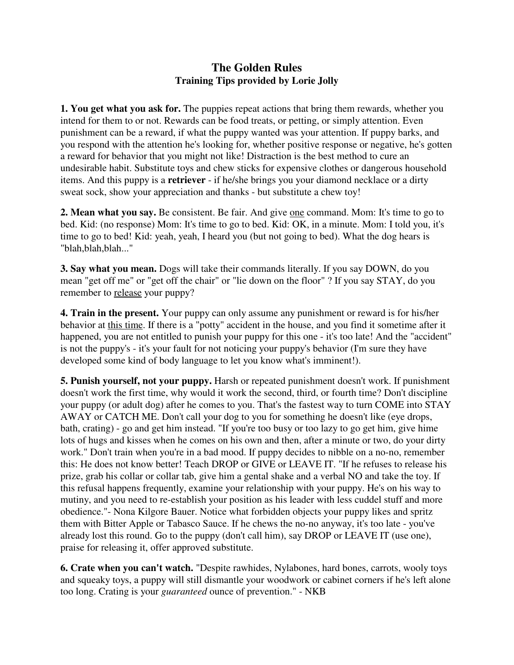## **The Golden Rules Training Tips provided by Lorie Jolly**

**1. You get what you ask for.** The puppies repeat actions that bring them rewards, whether you intend for them to or not. Rewards can be food treats, or petting, or simply attention. Even punishment can be a reward, if what the puppy wanted was your attention. If puppy barks, and you respond with the attention he's looking for, whether positive response or negative, he's gotten a reward for behavior that you might not like! Distraction is the best method to cure an undesirable habit. Substitute toys and chew sticks for expensive clothes or dangerous household items. And this puppy is a **retriever** - if he/she brings you your diamond necklace or a dirty sweat sock, show your appreciation and thanks - but substitute a chew toy!

**2. Mean what you say.** Be consistent. Be fair. And give one command. Mom: It's time to go to bed. Kid: (no response) Mom: It's time to go to bed. Kid: OK, in a minute. Mom: I told you, it's time to go to bed! Kid: yeah, yeah, I heard you (but not going to bed). What the dog hears is "blah,blah,blah..."

**3. Say what you mean.** Dogs will take their commands literally. If you say DOWN, do you mean "get off me" or "get off the chair" or "lie down on the floor" ? If you say STAY, do you remember to release your puppy?

**4. Train in the present.** Your puppy can only assume any punishment or reward is for his/her behavior at this time. If there is a "potty" accident in the house, and you find it sometime after it happened, you are not entitled to punish your puppy for this one - it's too late! And the "accident" is not the puppy's - it's your fault for not noticing your puppy's behavior (I'm sure they have developed some kind of body language to let you know what's imminent!).

**5. Punish yourself, not your puppy.** Harsh or repeated punishment doesn't work. If punishment doesn't work the first time, why would it work the second, third, or fourth time? Don't discipline your puppy (or adult dog) after he comes to you. That's the fastest way to turn COME into STAY AWAY or CATCH ME. Don't call your dog to you for something he doesn't like (eye drops, bath, crating) - go and get him instead. "If you're too busy or too lazy to go get him, give hime lots of hugs and kisses when he comes on his own and then, after a minute or two, do your dirty work." Don't train when you're in a bad mood. If puppy decides to nibble on a no-no, remember this: He does not know better! Teach DROP or GIVE or LEAVE IT. "If he refuses to release his prize, grab his collar or collar tab, give him a gental shake and a verbal NO and take the toy. If this refusal happens frequently, examine your relationship with your puppy. He's on his way to mutiny, and you need to re-establish your position as his leader with less cuddel stuff and more obedience."- Nona Kilgore Bauer. Notice what forbidden objects your puppy likes and spritz them with Bitter Apple or Tabasco Sauce. If he chews the no-no anyway, it's too late - you've already lost this round. Go to the puppy (don't call him), say DROP or LEAVE IT (use one), praise for releasing it, offer approved substitute.

**6. Crate when you can't watch.** "Despite rawhides, Nylabones, hard bones, carrots, wooly toys and squeaky toys, a puppy will still dismantle your woodwork or cabinet corners if he's left alone too long. Crating is your *guaranteed* ounce of prevention." - NKB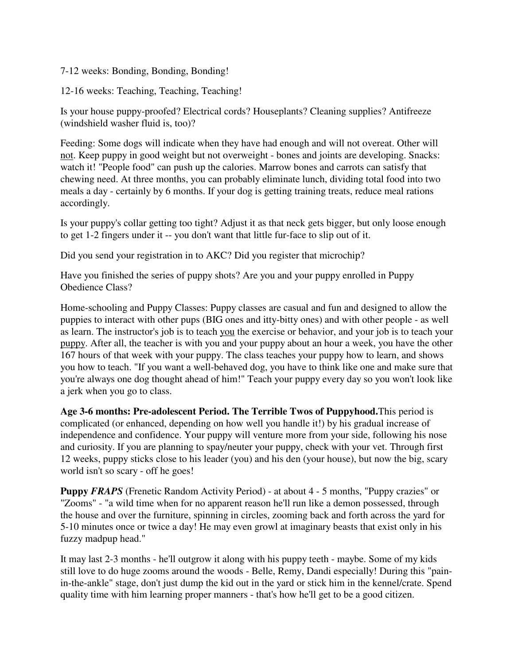7-12 weeks: Bonding, Bonding, Bonding!

12-16 weeks: Teaching, Teaching, Teaching!

Is your house puppy-proofed? Electrical cords? Houseplants? Cleaning supplies? Antifreeze (windshield washer fluid is, too)?

Feeding: Some dogs will indicate when they have had enough and will not overeat. Other will not. Keep puppy in good weight but not overweight - bones and joints are developing. Snacks: watch it! "People food" can push up the calories. Marrow bones and carrots can satisfy that chewing need. At three months, you can probably eliminate lunch, dividing total food into two meals a day - certainly by 6 months. If your dog is getting training treats, reduce meal rations accordingly.

Is your puppy's collar getting too tight? Adjust it as that neck gets bigger, but only loose enough to get 1-2 fingers under it -- you don't want that little fur-face to slip out of it.

Did you send your registration in to AKC? Did you register that microchip?

Have you finished the series of puppy shots? Are you and your puppy enrolled in Puppy Obedience Class?

Home-schooling and Puppy Classes: Puppy classes are casual and fun and designed to allow the puppies to interact with other pups (BIG ones and itty-bitty ones) and with other people - as well as learn. The instructor's job is to teach you the exercise or behavior, and your job is to teach your puppy. After all, the teacher is with you and your puppy about an hour a week, you have the other 167 hours of that week with your puppy. The class teaches your puppy how to learn, and shows you how to teach. "If you want a well-behaved dog, you have to think like one and make sure that you're always one dog thought ahead of him!" Teach your puppy every day so you won't look like a jerk when you go to class.

**Age 3-6 months: Pre-adolescent Period. The Terrible Twos of Puppyhood.**This period is complicated (or enhanced, depending on how well you handle it!) by his gradual increase of independence and confidence. Your puppy will venture more from your side, following his nose and curiosity. If you are planning to spay/neuter your puppy, check with your vet. Through first 12 weeks, puppy sticks close to his leader (you) and his den (your house), but now the big, scary world isn't so scary - off he goes!

**Puppy** *FRAPS* (Frenetic Random Activity Period) - at about 4 - 5 months, "Puppy crazies" or "Zooms" - "a wild time when for no apparent reason he'll run like a demon possessed, through the house and over the furniture, spinning in circles, zooming back and forth across the yard for 5-10 minutes once or twice a day! He may even growl at imaginary beasts that exist only in his fuzzy madpup head."

It may last 2-3 months - he'll outgrow it along with his puppy teeth - maybe. Some of my kids still love to do huge zooms around the woods - Belle, Remy, Dandi especially! During this "painin-the-ankle" stage, don't just dump the kid out in the yard or stick him in the kennel/crate. Spend quality time with him learning proper manners - that's how he'll get to be a good citizen.